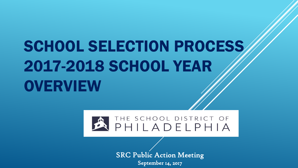# SCHOOL SELECTION PROCESS 2017-2018 SCHOOL YEAR **OVERVIEW**



SRC Public Action Meeting September 14, 2017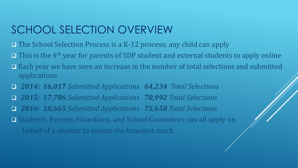# SCHOOL SELECTION OVERVIEW

- $\Box$  The School Selection Process is a K-12 process; any child can apply
- $\Box$  This is the 4<sup>th</sup> year for parents of SDP student and external students to apply online
- Each year we have seen an increase in the number of total selections and submitted applications
- *2014: 16,017 Submitted Applications 64,234 Total Selections 2015: 17,786 Submitted Applications 70,992 Total Selections 2016: 18,665 Submitted Applications 75,658 Total Selections* □ Students, Parents/Guardians, and School Counselors can all apply on
	- behalf of a student to ensure the broadest reach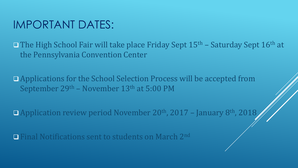### IMPORTANT DATES:

The High School Fair will take place Friday Sept  $15<sup>th</sup>$  – Saturday Sept  $16<sup>th</sup>$  at the Pennsylvania Convention Center

 Applications for the School Selection Process will be accepted from September 29th – November 13th at 5:00 PM

■ Application review period November 20<sup>th</sup>, 2017 - January 8<sup>th</sup>, 2018

**Final Notifications sent to students on March 2nd**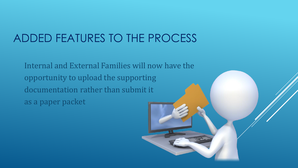## ADDED FEATURES TO THE PROCESS

Internal and External Families will now have the opportunity to upload the supporting documentation rather than submit it as a paper packet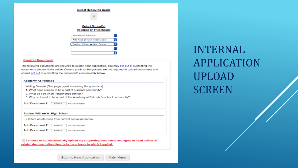| <b>Select Receiving Grade</b>  |    |
|--------------------------------|----|
| 11                             |    |
| Select School(s)               |    |
| IN ORDER OF PREFERENCE         |    |
| Academy At Palumbo             | ь  |
| Arts Acad @ Rush-Vocal Music   | le |
| Bodine, William W. High School |    |
|                                | c  |
|                                |    |

#### **Required Documents**

The following documents are required to submit your application. You may opt out of submitting the documents electronically below. Current pre-K to 3rd graders are not required to upload documents and should opt out of submitting the documents electronically below.

#### **Academy At Palumbo**

Writing Sample (One page typed answering the questions):

- 1. What does it mean to be a part of a school community?
- 2. What do I do when I experience conflict?
- 3. Why do I want to be a part of the Academy at Palumbo's school community?

Add Document 1\* Browse. No file selected.

#### Bodine, William W. High School

2 letters of reference from current school personnel.

| Add Document 1* | Browse | No file selected |
|-----------------|--------|------------------|
|-----------------|--------|------------------|

| dd Document 2* | Browse. | No file selected. |
|----------------|---------|-------------------|
|                |         |                   |

□ I choose to not electronically upload my supporting documents and agree to hand deliver all printed documentation directly to the schools to which I applied.

**INTERNAL APPLICATION UPLOAD SCREEN**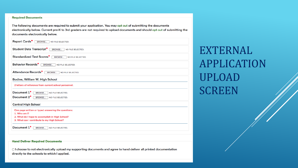#### **Required Documents**

The following documents are required to submit your application. You may opt out of submitting the documents electronically below. Current pre-K to 3rd graders are not required to upload documents and should opt out of submitting the documents electronically below.

| Report Cards*<br><b>BROWSE</b><br>NO FILE SELECTED.                    |
|------------------------------------------------------------------------|
| <b>Student Data Transcript*</b><br><b>BROWSE</b><br>NO FILE SELECTED.  |
| <b>Standardized Test Scores*</b><br><b>BROWSE</b><br>NO FILE SELECTED. |
| Behavior Records*<br><b>BROWSE</b><br>NO FILE SELECTED.                |
| Attendance Records*<br><b>BROWSE</b><br>NO FILE SELECTED.              |
| Bodine, William W. High School                                         |
| 2 letters of reference from current school personnel.                  |
| Document 1 <sup>*</sup><br><b>BROWSE</b><br>NO FILE SELECTED.          |
| Document 2*<br><b>BROWSE</b><br>NO FILE SELECTED.                      |
| <b>Central High School</b>                                             |
| One page written or typed answering the questions:                     |
| 1. Who am $1$ ?                                                        |
| 2. What do I hope to accomplish in High School?                        |
| 3. What can I contribute to my High School?                            |
| Document 1*<br><b>BROWSE</b><br>NO FILE SELECTED.                      |
|                                                                        |
|                                                                        |

#### **Hand Deliver Required Documents**

□ I choose to not electronically upload my supporting documents and agree to hand deliver all printed documentation directly to the schools to which I applied.

**EXTERNAL APPLICATION UPLOAD SCREEN**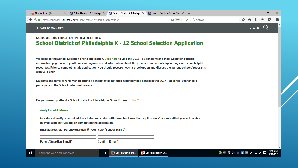| School District of Philadelph $\times$ School District of Philadelph $\times$<br>Zimbra: Inbox (1)<br>$\times$                                                                                                                                                                                                                                                                                                         | Search Results - Online Direc $\times$ |                   | Ο |   |
|------------------------------------------------------------------------------------------------------------------------------------------------------------------------------------------------------------------------------------------------------------------------------------------------------------------------------------------------------------------------------------------------------------------------|----------------------------------------|-------------------|---|---|
| ① △ https://appsdev1.philasd.org/student_transfer/external_application/                                                                                                                                                                                                                                                                                                                                                | c<br>Q Search<br>■ 90%                 |                   |   |   |
| <b>&lt; BACK TO MAIN MENU</b>                                                                                                                                                                                                                                                                                                                                                                                          |                                        |                   |   | ۸ |
| <b>SCHOOL DISTRICT OF PHILADELPHIA</b><br><b>School District of Philadelphia K - 12 School Selection Application</b>                                                                                                                                                                                                                                                                                                   |                                        |                   |   |   |
| Welcome to the School Selection online application. Click here to visit the 2017 - 18 school year School Selection Process<br>information page; where you'll find exciting and useful information about the process, our schools, upcoming events and helpful<br>resources. Prior to completing this application, you should research each school option and discuss the various schools' programs<br>with your child. |                                        |                   |   |   |
| Students and families who wish to attend a school that is not their neighborhood school in the 2017 - 18 school year should<br>participate in the School Selection Process.                                                                                                                                                                                                                                            |                                        |                   |   |   |
| Do you currently attend a School District of Philadelphia School? Yes $\odot$ No $\odot$                                                                                                                                                                                                                                                                                                                               |                                        |                   |   |   |
| <b>Verify Email Address</b>                                                                                                                                                                                                                                                                                                                                                                                            |                                        |                   |   |   |
| Provide and verify an email address to be associated with the school selection application. Once submitted you will receive<br>an email with instructions on completing the application.                                                                                                                                                                                                                               |                                        |                   |   |   |
| Email address of: Parent/Guardian ® Counselor/School Staff C                                                                                                                                                                                                                                                                                                                                                           |                                        |                   |   |   |
| Parent/Guardian E-mail*<br>Confirm E-mail*                                                                                                                                                                                                                                                                                                                                                                             |                                        |                   |   |   |
|                                                                                                                                                                                                                                                                                                                                                                                                                        |                                        |                   |   |   |
| School District of P<br>⊞<br>Search the web and Windows<br>$\Box$                                                                                                                                                                                                                                                                                                                                                      | P School Selection SY                  | <b>公米图层</b> 每日1×量 |   |   |